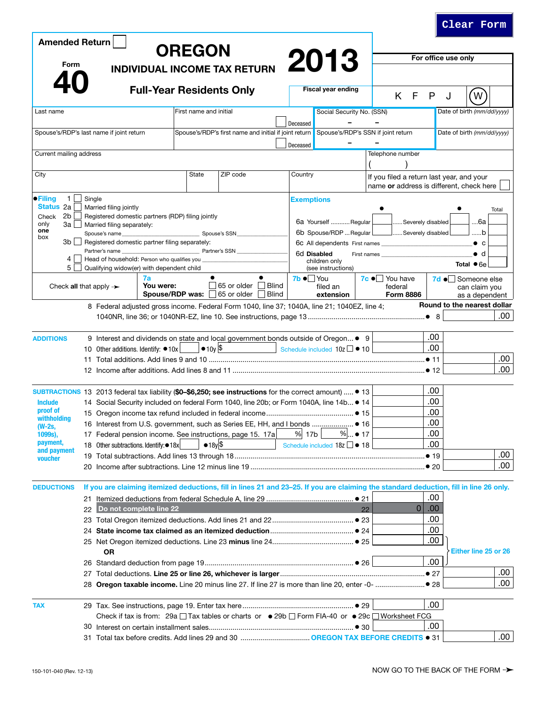| <b>Amended Return</b>                                                                                                           |    |                                                                                                                                              |                                                                                        | <b>OREGON</b>                                  |             |                                   |                               |                     |                                                                                                                                        |                                  |                         |                  |                     |                                    |                                                                                       |       |
|---------------------------------------------------------------------------------------------------------------------------------|----|----------------------------------------------------------------------------------------------------------------------------------------------|----------------------------------------------------------------------------------------|------------------------------------------------|-------------|-----------------------------------|-------------------------------|---------------------|----------------------------------------------------------------------------------------------------------------------------------------|----------------------------------|-------------------------|------------------|---------------------|------------------------------------|---------------------------------------------------------------------------------------|-------|
| <b>Form</b><br><b>INDIVIDUAL INCOME TAX RETURN</b>                                                                              |    |                                                                                                                                              |                                                                                        |                                                |             |                                   |                               | 2013                |                                                                                                                                        |                                  |                         |                  | For office use only |                                    |                                                                                       |       |
|                                                                                                                                 |    |                                                                                                                                              |                                                                                        |                                                |             |                                   |                               |                     |                                                                                                                                        |                                  |                         |                  |                     |                                    |                                                                                       |       |
|                                                                                                                                 |    |                                                                                                                                              |                                                                                        |                                                |             | <b>Full-Year Residents Only</b>   |                               |                     | <b>Fiscal year ending</b>                                                                                                              |                                  |                         | K F              | P                   | J                                  | W                                                                                     |       |
| Last name                                                                                                                       |    |                                                                                                                                              |                                                                                        | First name and initial                         |             |                                   |                               |                     | Social Security No. (SSN)                                                                                                              |                                  |                         |                  |                     |                                    | Date of birth (mm/dd/yyyy)                                                            |       |
|                                                                                                                                 |    |                                                                                                                                              |                                                                                        |                                                |             |                                   |                               | Deceased            |                                                                                                                                        |                                  |                         |                  |                     |                                    |                                                                                       |       |
| Spouse's/RDP's last name if joint return                                                                                        |    |                                                                                                                                              |                                                                                        |                                                |             |                                   |                               | Deceased            | Spouse's/RDP's first name and initial if joint return Spouse's/RDP's SSN if joint return                                               |                                  |                         |                  |                     |                                    | Date of birth (mm/dd/yyyy)                                                            |       |
| Current mailing address                                                                                                         |    |                                                                                                                                              |                                                                                        |                                                |             |                                   |                               |                     |                                                                                                                                        |                                  | Telephone number        |                  |                     |                                    |                                                                                       |       |
|                                                                                                                                 |    |                                                                                                                                              |                                                                                        |                                                |             |                                   |                               |                     |                                                                                                                                        |                                  |                         |                  |                     |                                    |                                                                                       |       |
| City                                                                                                                            |    |                                                                                                                                              |                                                                                        | State                                          |             | ZIP code                          |                               | Country             |                                                                                                                                        |                                  |                         |                  |                     |                                    | If you filed a return last year, and your<br>name or address is different, check here |       |
| $\bullet$ Filing<br>$\mathbf{1}$                                                                                                |    | Single                                                                                                                                       |                                                                                        |                                                |             |                                   |                               | <b>Exemptions</b>   |                                                                                                                                        |                                  |                         |                  |                     |                                    |                                                                                       |       |
| Status 2a                                                                                                                       |    | Married filing jointly                                                                                                                       |                                                                                        |                                                |             |                                   |                               |                     |                                                                                                                                        |                                  |                         |                  |                     |                                    |                                                                                       | Total |
| 2b<br>Registered domestic partners (RDP) filing jointly<br>Check<br>only<br>3a l<br>Married filing separately:<br>$\mathcal{L}$ |    |                                                                                                                                              |                                                                                        |                                                |             |                                   |                               | 6a Yourself Regular |                                                                                                                                        |                                  | Severely disabled<br>6а |                  |                     |                                    |                                                                                       |       |
| one<br>box                                                                                                                      |    | Spouse's name                                                                                                                                |                                                                                        | Spouse's SSN                                   |             |                                   | 6b Spouse/RDP  Regular L      |                     |                                                                                                                                        | Severely disabled                |                         |                  | b                   |                                    |                                                                                       |       |
| 3b I I                                                                                                                          |    | Partner's name                                                                                                                               |                                                                                        | Registered domestic partner filing separately: |             |                                   | 6c All dependents First names |                     |                                                                                                                                        |                                  |                         |                  |                     | $\bullet$ c                        |                                                                                       |       |
| 4                                                                                                                               |    |                                                                                                                                              | <u> 1980 - Johann Barbara, martin a</u><br>Head of household: Person who qualifies you |                                                |             | Partner's SSN                     |                               |                     | 6d Disabled<br>First names<br>children only                                                                                            |                                  |                         |                  |                     |                                    | $\bullet$ d                                                                           |       |
| 5 <sup>1</sup>                                                                                                                  |    | Qualifying widow(er) with dependent child                                                                                                    |                                                                                        |                                                |             |                                   |                               |                     | (see instructions)                                                                                                                     |                                  |                         |                  |                     |                                    | Total $\bullet$ 6e                                                                    |       |
| Check all that apply $\rightarrow$                                                                                              |    | 7a<br>You were:                                                                                                                              |                                                                                        |                                                | 65 or older | <b>Blind</b>                      | $7b \bullet$ You              | filed an            |                                                                                                                                        | $7c \bullet$ You have<br>federal |                         |                  |                     | 7d • Someone else<br>can claim you |                                                                                       |       |
|                                                                                                                                 |    |                                                                                                                                              |                                                                                        |                                                |             | Spouse/RDP was: 65 or older Blind |                               |                     | extension                                                                                                                              |                                  |                         | <b>Form 8886</b> |                     |                                    | as a dependent                                                                        |       |
|                                                                                                                                 |    |                                                                                                                                              |                                                                                        |                                                |             |                                   |                               |                     | 8 Federal adjusted gross income. Federal Form 1040, line 37; 1040A, line 21; 1040EZ, line 4;                                           |                                  |                         |                  |                     |                                    | Round to the nearest dollar                                                           |       |
|                                                                                                                                 |    |                                                                                                                                              |                                                                                        |                                                |             |                                   |                               |                     |                                                                                                                                        |                                  |                         |                  |                     |                                    |                                                                                       | .00.  |
|                                                                                                                                 |    |                                                                                                                                              |                                                                                        |                                                |             |                                   |                               |                     |                                                                                                                                        |                                  |                         |                  |                     |                                    |                                                                                       |       |
| <b>ADDITIONS</b>                                                                                                                |    | 9 Interest and dividends on state and local government bonds outside of Oregon • 9<br>$\bullet$ 10y $\vert \$$<br>Schedule included 10z 0 10 |                                                                                        |                                                |             |                                   |                               |                     |                                                                                                                                        |                                  |                         |                  | .00<br>.00          |                                    |                                                                                       |       |
|                                                                                                                                 |    | 10 Other additions. Identify: ●10x                                                                                                           |                                                                                        |                                                |             |                                   |                               |                     |                                                                                                                                        |                                  |                         |                  |                     |                                    |                                                                                       | .00   |
|                                                                                                                                 |    |                                                                                                                                              |                                                                                        |                                                |             |                                   |                               |                     |                                                                                                                                        |                                  |                         |                  |                     |                                    |                                                                                       | .00   |
|                                                                                                                                 |    |                                                                                                                                              |                                                                                        |                                                |             |                                   |                               |                     |                                                                                                                                        |                                  |                         |                  |                     |                                    |                                                                                       |       |
| SUBTRACTIONS 13 2013 federal tax liability (\$0-\$6,250; see instructions for the correct amount) $\bullet$ 13                  |    |                                                                                                                                              |                                                                                        |                                                |             |                                   |                               |                     |                                                                                                                                        |                                  |                         |                  | .00                 |                                    |                                                                                       |       |
| <b>Include</b>                                                                                                                  |    | 14 Social Security included on federal Form 1040, line 20b; or Form 1040A, line 14b • 14                                                     |                                                                                        |                                                |             |                                   |                               |                     |                                                                                                                                        |                                  |                         | .00              |                     |                                    |                                                                                       |       |
| proof of<br>withholding                                                                                                         |    |                                                                                                                                              |                                                                                        |                                                |             |                                   |                               |                     |                                                                                                                                        |                                  |                         |                  | .00                 |                                    |                                                                                       |       |
| (W-2s,                                                                                                                          |    | 17 Federal pension income. See instructions, page 15. 17a                                                                                    |                                                                                        |                                                |             |                                   |                               |                     |                                                                                                                                        |                                  |                         | .00              |                     |                                    |                                                                                       |       |
| 1099s),<br>payment,<br>and payment                                                                                              |    |                                                                                                                                              |                                                                                        |                                                |             |                                   |                               | % 17b               | $%$ ● 17                                                                                                                               |                                  |                         |                  | .00                 |                                    |                                                                                       |       |
|                                                                                                                                 |    | 18 Other subtractions. Identify: • 18x                                                                                                       |                                                                                        |                                                | $•18y$ \$   |                                   |                               |                     | Schedule included $18z \Box \bullet 18$                                                                                                |                                  |                         |                  | .00                 |                                    |                                                                                       | .00   |
| <b>voucher</b>                                                                                                                  |    |                                                                                                                                              |                                                                                        |                                                |             |                                   |                               |                     |                                                                                                                                        |                                  |                         |                  |                     |                                    | .00                                                                                   |       |
|                                                                                                                                 |    |                                                                                                                                              |                                                                                        |                                                |             |                                   |                               |                     |                                                                                                                                        |                                  |                         |                  |                     |                                    |                                                                                       |       |
| <b>DEDUCTIONS</b>                                                                                                               |    |                                                                                                                                              |                                                                                        |                                                |             |                                   |                               |                     | If you are claiming itemized deductions, fill in lines 21 and 23-25. If you are claiming the standard deduction, fill in line 26 only. |                                  |                         |                  |                     |                                    |                                                                                       |       |
|                                                                                                                                 | 21 |                                                                                                                                              |                                                                                        |                                                |             |                                   |                               |                     |                                                                                                                                        |                                  |                         |                  |                     | .00                                |                                                                                       |       |
|                                                                                                                                 | 22 | Do not complete line 22                                                                                                                      |                                                                                        |                                                |             |                                   |                               |                     |                                                                                                                                        | 22                               |                         |                  | 0 <br>.00.          |                                    |                                                                                       |       |
|                                                                                                                                 |    |                                                                                                                                              |                                                                                        |                                                |             |                                   |                               |                     |                                                                                                                                        |                                  |                         |                  | .00                 |                                    |                                                                                       |       |
|                                                                                                                                 |    |                                                                                                                                              |                                                                                        |                                                |             |                                   |                               |                     |                                                                                                                                        |                                  |                         |                  | .00                 |                                    |                                                                                       |       |
|                                                                                                                                 |    |                                                                                                                                              |                                                                                        |                                                |             |                                   |                               |                     |                                                                                                                                        |                                  |                         | .00              |                     |                                    |                                                                                       |       |
|                                                                                                                                 |    | ΟR                                                                                                                                           |                                                                                        |                                                |             |                                   |                               |                     |                                                                                                                                        |                                  | .00                     |                  |                     |                                    | Either line 25 or 26                                                                  |       |
|                                                                                                                                 |    |                                                                                                                                              |                                                                                        |                                                |             |                                   |                               |                     |                                                                                                                                        |                                  |                         |                  |                     |                                    |                                                                                       | .00   |
|                                                                                                                                 |    |                                                                                                                                              |                                                                                        |                                                |             |                                   |                               |                     |                                                                                                                                        |                                  |                         |                  |                     |                                    |                                                                                       | .00   |
|                                                                                                                                 |    |                                                                                                                                              |                                                                                        |                                                |             |                                   |                               |                     |                                                                                                                                        |                                  |                         |                  |                     |                                    |                                                                                       |       |
| <b>TAX</b>                                                                                                                      |    |                                                                                                                                              |                                                                                        |                                                |             |                                   |                               |                     |                                                                                                                                        |                                  |                         |                  |                     | .00                                |                                                                                       |       |
|                                                                                                                                 |    |                                                                                                                                              |                                                                                        |                                                |             |                                   |                               |                     | Check if tax is from: 29a □ Tax tables or charts or $\bullet$ 29b □ Form FIA-40 or $\bullet$ 29c □ Worksheet FCG                       |                                  |                         |                  |                     |                                    |                                                                                       |       |
|                                                                                                                                 |    |                                                                                                                                              |                                                                                        |                                                |             |                                   |                               |                     |                                                                                                                                        |                                  |                         |                  | .00                 |                                    |                                                                                       |       |
|                                                                                                                                 |    |                                                                                                                                              |                                                                                        |                                                |             |                                   |                               |                     |                                                                                                                                        |                                  |                         |                  |                     |                                    |                                                                                       | .00   |

**Clear Form**